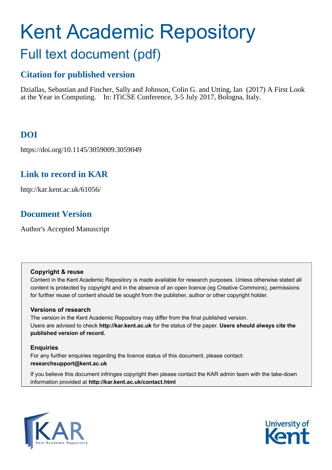# Kent Academic Repository Full text document (pdf)

# **Citation for published version**

Dziallas, Sebastian and Fincher, Sally and Johnson, Colin G. and Utting, Ian (2017) A First Look at the Year in Computing. In: ITiCSE Conference, 3-5 July 2017, Bologna, Italy.

# **DOI**

https://doi.org/10.1145/3059009.3059049

# **Link to record in KAR**

http://kar.kent.ac.uk/61056/

# **Document Version**

Author's Accepted Manuscript

# **Copyright & reuse**

Content in the Kent Academic Repository is made available for research purposes. Unless otherwise stated all content is protected by copyright and in the absence of an open licence (eg Creative Commons), permissions for further reuse of content should be sought from the publisher, author or other copyright holder.

# **Versions of research**

The version in the Kent Academic Repository may differ from the final published version. Users are advised to check **http://kar.kent.ac.uk** for the status of the paper. **Users should always cite the published version of record.**

# **Enquiries**

For any further enquiries regarding the licence status of this document, please contact: **researchsupport@kent.ac.uk**

If you believe this document infringes copyright then please contact the KAR admin team with the take-down information provided at **http://kar.kent.ac.uk/contact.html**



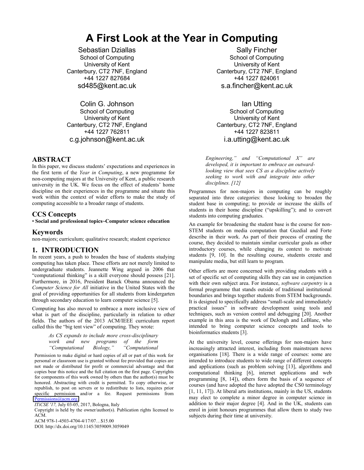# **A First Look at the Year in Computing**

Sebastian Dziallas School of Computing University of Kent Canterbury, CT2 7NF, England +44 1227 827684 sd485@kent.ac.uk

Colin G. Johnson School of Computing University of Kent Canterbury, CT2 7NF, England +44 1227 762811 c.g.johnson@kent.ac.uk

# **ABSTRACT**

In this paper, we discuss students' expectations and experiences in the first term of the *Year in Computing*, a new programme for non-computing majors at the University of Kent, a public research university in the UK. We focus on the effect of students' home discipline on their experiences in the programme and situate this work within the context of wider efforts to make the study of computing accessible to a broader range of students.

## **CCS Concepts**

#### • **Social and professional topics~Computer science education**

## **Keywords**

non-majors; curriculum; qualitative research; student experience

# **1. INTRODUCTION**

In recent years, a push to broaden the base of students studying computing has taken place. These efforts are not merely limited to undergraduate students. Jeannette Wing argued in 2006 that "computational thinking" is a skill everyone should possess [21]. Furthermore, in 2016, President Barack Obama announced the *Computer Science for All* initiative in the United States with the goal of providing opportunities for all students from kindergarten through secondary education to learn computer science [5].

Computing has also moved to embrace a more inclusive view of what is part of the discipline, particularly in relation to other fields. The authors of the 2013 ACM/IEEE curriculum report called this the "big tent view" of computing. They wrote:

> *As CS expands to include more cross-disciplinary work and new programs of the form "Computational Biology," "Computational*

Permission to make digital or hard copies of all or part of this work for personal or classroom use is granted without fee provided that copies are not made or distributed for profit or commercial advantage and that copies bear this notice and the full citation on the first page. Copyrights for components of this work owned by others than the author(s) must be honored. Abstracting with credit is permitted. To copy otherwise, or republish, to post on servers or to redistribute to lists, requires prior specific permission and/or a fee. Request permissions from Permissions@acm.org

*ITiCSE '17,* July 03-05, 2017, Bologna, Italy

Copyright is held by the owner/author(s). Publication rights licensed to ACM.

ACM 978-1-4503-4704-4/17/07…\$15.00

DOI: http://dx.doi.org/10.1145/3059009.3059049

Sally Fincher School of Computing University of Kent Canterbury, CT2 7NF, England +44 1227 824061 s.a.fincher@kent.ac.uk

Ian Utting School of Computing University of Kent Canterbury, CT2 7NF, England +44 1227 823811 i.a.utting@kent.ac.uk

*Engineering," and "Computational X" are developed, it is important to embrace an outwardlooking view that sees CS as a discipline actively seeking to work with and integrate into other disciplines. [12]* 

Programmes for non-majors in computing can be roughly separated into three categories: those looking to broaden the student base in computing; to provide or increase the skills of students in their home discipline ("upskilling"); and to convert students into computing graduates.

An example for broadening the student base is the course for non-STEM students on media computation that Guzdial and Forte describe in their work. As part of their process of creating the course, they decided to maintain similar curricular goals as other introductory courses, while changing its context to motivate students [9, 10]. In the resulting course, students create and manipulate media, but still learn to program.

Other efforts are more concerned with providing students with a set of specific set of computing skills they can use in conjunction with their own subject area. For instance, *software carpentry* is a formal programme that stands outside of traditional institutional boundaries and brings together students from STEM backgrounds. It is designed to specifically address "small-scale and immediately practical issues" in software development using tools and techniques, such as version control and debugging [20]. Another example in this area is the work of DeJongh and LeBlanc, who intended to bring computer science concepts and tools to bioinformatics students [3].

At the university level, course offerings for non-majors have increasingly attracted interest, including from mainstream news organisations [18]. There is a wide range of courses: some are intended to introduce students to wide range of different concepts and applications (such as problem solving [13], algorithms and computational thinking [6], internet applications and web programming [8, 14]), others form the basis of a sequence of courses (and have adopted the have adopted the CS0 terminology [1, 11, 17]). At liberal arts institutions, mainly in the US, students may elect to complete a minor degree in computer science in addition to their major degree [4]. And in the UK, students can enrol in joint honours programmes that allow them to study two subjects during their time at university.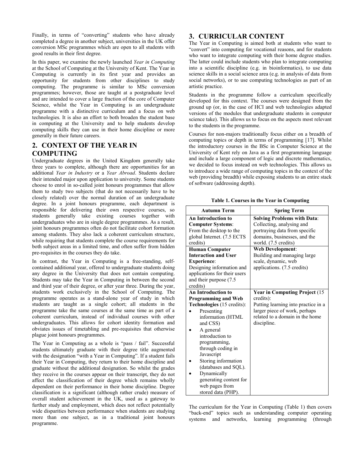Finally, in terms of "converting" students who have already completed a degree in another subject, universities in the UK offer conversion MSc programmes which are open to all students with good results in their first degree.

In this paper, we examine the newly launched *Year in Computing*  at the School of Computing at the University of Kent. The Year in Computing is currently in its first year and provides an opportunity for students from other disciplines to study computing. The programme is similar to MSc conversion programmes; however, those are taught at a postgraduate level and are intended to cover a large fraction of the core of Computer Science, whilst the Year in Computing is an undergraduate programme with a distinctive curriculum and a focus on web technologies. It is also an effort to both broaden the student base in computing at the University and to help students develop computing skills they can use in their home discipline or more generally in their future careers.

# **2. CONTEXT OF THE YEAR IN COMPUTING**

Undergraduate degrees in the United Kingdom generally take three years to complete, although there are opportunities for an additional *Year in Industry* or a *Year Abroad*. Students declare their intended major upon application to university. Some students choose to enrol in so-called joint honours programmes that allow them to study two subjects (that do not necessarily have to be closely related) over the normal duration of an undergraduate degree. In a joint honours programme, each department is responsible for delivering their own respective courses, so students generally take existing courses together with undergraduates who are in single degree programmes. As a result, joint honours programmes often do not facilitate cohort formation among students. They also lack a coherent curriculum structure, while requiring that students complete the course requirements for both subject areas in a limited time, and often suffer from hidden pre-requisites in the courses they do take.

In contrast, the Year in Computing is a free-standing, selfcontained additional year, offered to undergraduate students doing any degree in the University that does not contain computing. Students may take the Year in Computing in between the second and third year of their degree, or after year three. During the year, students work exclusively in the School of Computing. The programme operates as a stand-alone year of study in which students are taught as a single cohort; all students in the programme take the same courses at the same time as part of a coherent curriculum, instead of individual courses with other undergraduates. This allows for cohort identity formation and obviates issues of timetabling and pre-requisites that otherwise plague joint honours programmes.

The Year in Computing as a whole is "pass / fail". Successful students ultimately graduate with their degree title augmented with the designation "with a Year in Computing". If a student fails their Year in Computing, they return to their home discipline and graduate without the additional designation. So whilst the grades they receive in the courses appear on their transcript, they do not affect the classification of their degree which remains wholly dependent on their performance in their home discipline. Degree classification is a significant (although rather crude) measure of overall student achievement in the UK, used as a gateway to further study and employment, which does not reflect potentially wide disparities between performance when students are studying more than one subject, as in a traditional joint honours programme.

# **3. CURRICULAR CONTENT**

The Year in Computing is aimed both at students who want to "convert" into computing for vocational reasons, and for students who want to integrate computing with their home degree studies. The latter could include students who plan to integrate computing into a scientific discipline (e.g. in bioinformatics), to use data science skills in a social science area (e.g. in analysis of data from social networks), or to use computing technologies as part of an artistic practice.

Students in the programme follow a curriculum specifically developed for this context. The courses were designed from the ground up (or, in the case of HCI and web technologies adapted versions of the modules that undergraduate students in computer science take). This allows us to focus on the aspects most relevant to the students in the programme.

Courses for non-majors traditionally focus either on a breadth of computing topics or depth in terms of programming [17]. Whilst the introductory courses in the BSc in Computer Science at the University of Kent rely on Java as a first programming language and include a large component of logic and discrete mathematics, we decided to focus instead on web technologies. This allows us to introduce a wide range of computing topics in the context of the web (providing breadth) while exposing students to an entire stack of software (addressing depth).

**Table 1. Courses in the Year in Computing** 

| <b>Autumn Term</b>           | <b>Spring Term</b>                    |
|------------------------------|---------------------------------------|
| <b>An Introduction to</b>    | <b>Solving Problems with Data:</b>    |
| <b>Computer Systems:</b>     | Collecting, analysing and             |
| From the desktop to the      | portraying data from specific         |
| global Internet. (7.5 ECTS   | domains, businesses, and the          |
| credits)                     | world. (7.5 credits)                  |
| <b>Human Computer</b>        | <b>Web Development:</b>               |
| <b>Interaction and User</b>  | Building and managing large           |
| <b>Experience:</b>           | scale, dynamic, web                   |
| Designing information and    | applications. (7.5 credits)           |
| applications for their users |                                       |
| and their purpose (7.5)      |                                       |
| credits)                     |                                       |
| An Introduction to           | <b>Year in Computing Project (15)</b> |
| <b>Programming and Web</b>   | credits):                             |
| Technologies (15 credits):   | Putting learning into practice in a   |
| Presenting                   | larger piece of work, perhaps         |
| information (HTML            | related to a domain in the home       |
| and CSS)                     | discipline.                           |
| A general                    |                                       |
| introduction to              |                                       |
| programming,                 |                                       |
| through coding in            |                                       |
| Javascript                   |                                       |
| Storing information          |                                       |
| (databases and SQL).         |                                       |
| Dynamically                  |                                       |
| generating content for       |                                       |
| web pages from               |                                       |
| stored data (PHP).           |                                       |

The curriculum for the Year in Computing (Table 1) then covers "back-end" topics such as understanding computer operating systems and networks, learning programming (through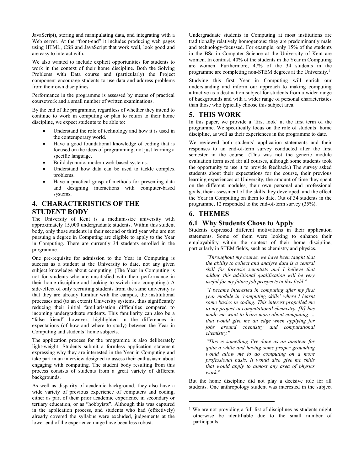JavaScript), storing and manipulating data, and integrating with a Web server. At the "front-end" it includes producing web pages using HTML, CSS and JavaScript that work well, look good and are easy to interact with.

We also wanted to include explicit opportunities for students to work in the context of their home discipline. Both the Solving Problems with Data course and (particularly) the Project component encourage students to use data and address problems from their own disciplines.

Performance in the programme is assessed by means of practical coursework and a small number of written examinations.

By the end of the programme, regardless of whether they intend to continue to work in computing or plan to return to their home discipline, we expect students to be able to:

- Understand the role of technology and how it is used in the contemporary world.
- Have a good foundational knowledge of coding that is focused on the ideas of programming, not just learning a specific language.
- Build dynamic, modern web-based systems.
- Understand how data can be used to tackle complex problems.
- Have a practical grasp of methods for presenting data and designing interactions with computer-based systems.

# **4. CHARACTERISTICS OF THE STUDENT BODY**

The University of Kent is a medium-size university with approximately 15,000 undergraduate students. Within this student body, only those students in their second or third year who are not pursuing a degree in Computing are eligible to apply to the Year in Computing. There are currently 34 students enrolled in the programme.

One pre-requisite for admission to the Year in Computing is success as a student at the University to date, not any given subject knowledge about computing. (The Year in Computing is not for students who are unsatisfied with their performance in their home discipline and looking to switch into computing.) A side-effect of only recruiting students from the same university is that they are already familiar with the campus, the institutional processes and (to an extent) University systems, thus significantly reducing their initial familiarisation difficulties compared to incoming undergraduate students. This familiarity can also be a "false friend" however, highlighted in the differences in expectations (of how and where to study) between the Year in Computing and students' home subjects.

The application process for the programme is also deliberately light-weight: Students submit a formless application statement expressing why they are interested in the Year in Computing and take part in an interview designed to assess their enthusiasm about engaging with computing. The student body resulting from this process consists of students from a great variety of different backgrounds.

As well as disparity of academic background, they also have a wide variety of previous experience of computers and coding, either as part of their prior academic experience in secondary or tertiary education, or as "hobbyists". Although this was captured in the application process, and students who had (effectively) already covered the syllabus were excluded, judgements at the lower end of the experience range have been less robust.

Undergraduate students in Computing at most institutions are traditionally relatively homogenous: they are predominantly male and technology-focussed. For example, only 15% of the students in the BSc in Computer Science at the University of Kent are women. In contrast, 40% of the students in the Year in Computing are women. Furthermore, 47% of the 34 students in the programme are completing non-STEM degrees at the University.<sup>1</sup>

Studying this first Year in Computing will enrich our understanding and inform our approach to making computing attractive as a destination subject for students from a wider range of backgrounds and with a wider range of personal characteristics than those who typically choose this subject area.

## **5. THIS WORK**

In this paper, we provide a 'first look' at the first term of the programme. We specifically focus on the role of students' home discipline, as well as their experiences in the programme to date.

We reviewed both students' application statements and their responses to an end-of-term survey conducted after the first semester in the course. (This was not the generic module evaluation form used for all courses, although some students took the opportunity to use it to provide feedback.) The survey asked students about their expectations for the course, their previous learning experiences at University, the amount of time they spent on the different modules, their own personal and professional goals, their assessment of the skills they developed, and the effect the Year in Computing on them to date. Out of 34 students in the programme, 12 responded to the end-of-term survey (35%).

## **6. THEMES**

 $\overline{a}$ 

# **6.1 Why Students Chose to Apply**

Students expressed different motivations in their application statements. Some of them were looking to enhance their employability within the context of their home discipline, particularly in STEM fields, such as chemistry and physics.

> *"Throughout my course, we have been taught that the ability to collect and analyse data is a central skill for forensic scientists and I believe that adding this additional qualification will be very useful for my future job prospects in this field*."

> *"I became interested in computing after my first year module in 'computing skills' where I learnt some basics in coding. This interest propelled me to my project in computational chemistry. [It] has made me want to learn more about computing … that would give me an edge when applying for jobs around chemistry and computational chemistry.*"

> *"This is something I've done as an amateur for quite a while and having some proper grounding would allow me to do computing on a more professional basis. It would also give me skills that would apply to almost any area of physics work*."

But the home discipline did not play a decisive role for all students. One anthropology student was interested in the subject

<sup>&</sup>lt;sup>1</sup> We are not providing a full list of disciplines as students might otherwise be identifiable due to the small number of participants.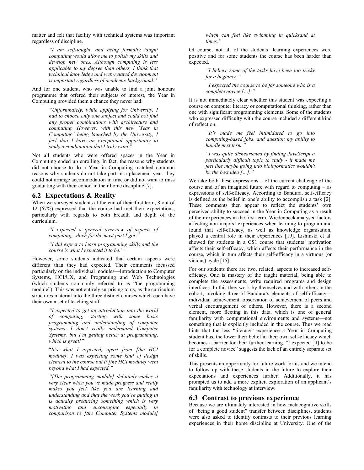matter and felt that facility with technical systems was important regardless of discipline.

> *"I am self-taught, and being formally taught computing would allow me to polish my skills and develop new ones. Although computing is less applicable to my degree than others, I think that technical knowledge and web-related development is important regardless of academic background*."

And for one student, who was unable to find a joint honours programme that offered their subjects of interest, the Year in Computing provided them a chance they never had:

> *"Unfortunately, while applying for University, I had to choose only one subject and could not find any proper combinations with architecture and computing. However, with this new 'Year in Computing' being launched by the University, I feel that I have an exceptional opportunity to study a combination that I truly want.*"

Not all students who were offered spaces in the Year in Computing ended up enrolling. In fact, the reasons why students did not choose to do a Year in Computing matched common reasons why students do not take part in a placement year: they could not arrange accommodation in time or did not want to miss graduating with their cohort in their home discipline [7].

#### **6.2 Expectations & Reality**

When we surveyed students at the end of their first term, 8 out of 12 (67%) expressed that the course had met their expectations, particularly with regards to both breadth and depth of the curriculum.

> *"I expected a general overview of aspects of computing, which for the most part I got."*

> *"I did expect to learn programming skills and the course is what I expected it to be."*

However, some students indicated that certain aspects were different than they had expected. Their comments focussed particularly on the individual modules—Introduction to Computer Systems, HCI/UX, and Programing and Web Technologies (which students commonly referred to as "the programming module"). This was not entirely surprising to us, as the curriculum structures material into the three distinct courses which each have their own a set of teaching staff.

> *"I expected to get an introduction into the world of computing, starting with some basic programming and understanding of computer systems. I don't really understand Computer Systems, but I'm getting better at programming, which is great!"*

> "*It's what I expected, apart from [the HCI module]. I was expecting some kind of design element to the course but it [the HCI module] went beyond what I had expected."*

> *"[The programming module] definitely makes it very clear when you've made progress and really makes you feel like you are learning and understanding and that the work you're putting in is actually producing something which is very motivating and encouraging especially in comparison to [the Computer Systems module]*

*which can feel like swimming in quicksand at times."*

Of course, not all of the students' learning experiences were positive and for some students the course has been harder than expected.

> *"I believe some of the tasks have been too tricky for a beginner."*

> *"I expected the course to be for someone who is a complete novice […]."*

It is not immediately clear whether this student was expecting a course on computer literacy or computational thinking, rather than one with significant programming elements. Some of the students who expressed difficulty with the course included a different kind of reflection.

> *"It's made me feel intimidated to go into computing-based jobs, and question my ability to handle next term."*

> *"I was quite disheartened by finding JavaScript a particularly difficult topic to study - it made me feel like maybe going into bioinformatics wouldn't be the best idea […]."*

We take both these expressions – of the current challenge of the course and of an imagined future with regard to computing – as expressions of self-efficacy. According to Bandura, self-efficacy is defined as the belief in one's ability to accomplish a task [2]. These comments then appear to reflect the students' own perceived ability to succeed in the Year in Computing as a result of their experiences in the first term. Wiedenbeck analysed factors affecting non-majors' experiences when learning to program and found that self-efficacy, as well as knowledge organisation, played a central role in their experiences [19]. Lishinski et al. showed for students in a CS1 course that students' motivation affects their self-efficacy, which affects their performance in the course, which in turn affects their self-efficacy in a virtuous (or vicious) cycle [15].

For our students there are two, related, aspects to increased selfefficacy. One is mastery of the taught material, being able to complete the assessments, write required programs and design interfaces. In this they work by themselves and with others in the cohort, invoking three of Bandura's elements of self-efficacy individual achievement, observation of achievement of peers and verbal encouragement of others. However, there is a second element, more fleeting in this data, which is one of general familiarity with computational environments and systems—not something that is explicitly included in the course. Thus we read hints that the less "literacy" experience a Year in Computing student has, the lower their belief in their own self-efficacy which becomes a barrier for their further learning. "I expected [it] to be for a complete novice" suggests the lack of an entirely separate set of skills.

This presents an opportunity for future work for us and we intend to follow up with these students in the future to explore their expectations and experiences further. Additionally, it has prompted us to add a more explicit exploration of an applicant's familiarity with technology at interview.

### **6.3 Contrast to previous experience**

Because we are ultimately interested in how metacognitive skills of "being a good student" transfer between disciplines, students were also asked to identify contrasts to their previous learning experiences in their home discipline at University. One of the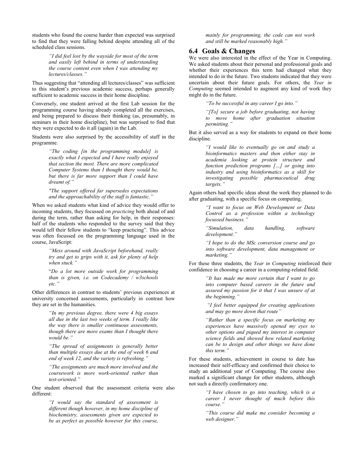students who found the course harder than expected was surprised to find that they were falling behind despite attending all of the scheduled class sessions.

> *"I did feel lost by the wayside for most of the term and easily left behind in terms of understanding the course content even when I was attending my lectures/classes."*

Thus suggesting that "attending all lectures/classes" was sufficient to this student's previous academic success, perhaps generally sufficient to academic success in their home discipline.

Conversely, one student arrived at the first Lab session for the programming course having already completed all the exercises, and being prepared to discuss their thinking (as, presumably, in seminars in their home discipline), but was surprised to find that they were expected to do it all (again) in the Lab.

Students were also surprised by the accessibility of staff in the programme.

> *"The coding [in the programming module] is exactly what I expected and I have really enjoyed that section the most. There are more complicated Computer Systems than I thought there would be, but there is far more support than I could have dreamt of."*

> *"The support offered far supersedes expectations and the approachability of the staff is fantastic."*

When we asked students what kind of advice they would offer to incoming students, they focussed on *practicing* both ahead of and during the term, rather than asking for help, in their responses: half of the students who responded to the survey said that they would tell their fellow students to "keep practicing". This advice was often focussed on the programming language used in the course, JavaScript:

> *"Mess around with JavaScript beforehand, really try and get to grips with it, ask for plenty of help when stuck."*

> "*Do a lot more outside work for programming than is given, i.e. on Codecademy / w3schools etc."*

Other differences in contrast to students' previous experiences at university concerned assessments, particularly in contrast how they are set in the humanities.

> *"In my previous degree, there were 4 big essays all due in the last two weeks of term. I really like the way there is smaller continuous assessments, though there are more exams than I thought there would be."*

> *"The spread of assignments is generally better than multiple essays due at the end of week 6 and end of week 12, and the variety is refreshing."*

> *"The assignments are much more involved and the coursework is more work-oriented rather than test-oriented."*

One student observed that the assessment criteria were also different:

> *"I would say the standard of assessment is different though however, in my home discipline of biochemistry, assessments given are expected to be as perfect as possible however for this course,*

*mainly for programming, the code can not work and still be marked reasonably high."*

#### **6.4 Goals & Changes**

We were also interested in the effect of the Year in Computing. We asked students about their personal and professional goals and whether their experiences this term had changed what they intended to do in the future. Two students indicated that they were uncertain about their future goals. For others, the *Year in Computing* seemed intended to augment any kind of work they might do in the future.

*"To be successful in any career I go into."*

*"[To] secure a job before graduating, not having to move home after graduation situation permitting."*

But it also served as a way for students to expand on their home discipline.

> *"I would like to eventually go on and study a bioinformatics masters and then either stay in academia looking at protein structure and function prediction programs […] or going into industry and using bioinformatics as a skill for investigating possible pharmaceutical drug targets."*

Again others had specific ideas about the work they planned to do after graduating, with a specific focus on computing.

> *"I want to focus on Web Development or Data Control as a profession within a technology focussed business."*

> *"Simulation, data handling, software development."*

> *"I hope to do the MSc conversion course and go into software development, data management or marketing."*

For these three students, the *Year in Computing* reinforced their confidence in choosing a career in a computing-related field.

> *"It has made me more certain that I want to go into computer based careers in the future and assured my passion for it that I was unsure of at the beginning."*

> *"I feel better equipped for creating applications and may go more down that route"*

> *"Rather than a specific focus on marketing my experiences have massively opened my eyes to other options and piqued my interest in computer science fields and showed how related marketing can be to design and other things we have done this term."*

For these students, achievement in course to date has increased their self-efficacy and confirmed their choice to study an additional year of Computing. The course also marked a significant change for other students, although not such a directly confirmatory one.

> *"I have chosen to go into teaching, which is a career I never thought of much before this course."*

> *"This course did make me consider becoming a web designer."*